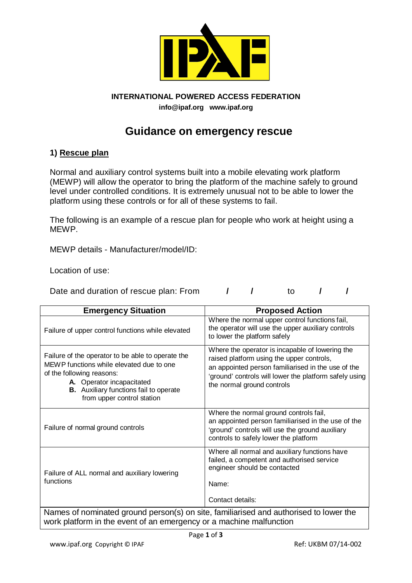

# **INTERNATIONAL POWERED ACCESS FEDERATION**

**info@ipaf.org www.ipaf.org**

# **Guidance on emergency rescue**

## **1) Rescue plan**

Normal and auxiliary control systems built into a mobile elevating work platform (MEWP) will allow the operator to bring the platform of the machine safely to ground level under controlled conditions. It is extremely unusual not to be able to lower the platform using these controls or for all of these systems to fail.

The following is an example of a rescue plan for people who work at height using a MEWP.

MEWP details - Manufacturer/model/ID:

Location of use:

Date and duration of rescue plan: From  $\sqrt{7}$  to  $\sqrt{7}$ 

| <b>Emergency Situation</b>                                                                                                                                                                                                             | <b>Proposed Action</b>                                                                                                                                                                                                                     |
|----------------------------------------------------------------------------------------------------------------------------------------------------------------------------------------------------------------------------------------|--------------------------------------------------------------------------------------------------------------------------------------------------------------------------------------------------------------------------------------------|
| Failure of upper control functions while elevated                                                                                                                                                                                      | Where the normal upper control functions fail,<br>the operator will use the upper auxiliary controls<br>to lower the platform safely                                                                                                       |
| Failure of the operator to be able to operate the<br>MEWP functions while elevated due to one<br>of the following reasons:<br>A. Operator incapacitated<br><b>B.</b> Auxiliary functions fail to operate<br>from upper control station | Where the operator is incapable of lowering the<br>raised platform using the upper controls,<br>an appointed person familiarised in the use of the<br>'ground' controls will lower the platform safely using<br>the normal ground controls |
| Failure of normal ground controls                                                                                                                                                                                                      | Where the normal ground controls fail,<br>an appointed person familiarised in the use of the<br>'ground' controls will use the ground auxiliary<br>controls to safely lower the platform                                                   |
| Failure of ALL normal and auxiliary lowering<br>functions                                                                                                                                                                              | Where all normal and auxiliary functions have<br>failed, a competent and authorised service<br>engineer should be contacted<br>Name:<br>Contact details:                                                                                   |
| Names of nominated ground person(s) on site, familiarised and authorised to lower the                                                                                                                                                  |                                                                                                                                                                                                                                            |

work platform in the event of an emergency or a machine malfunction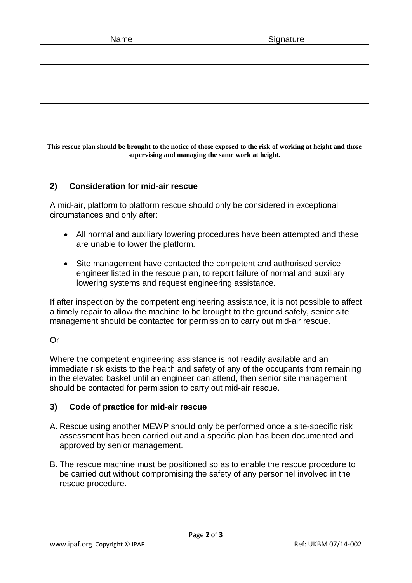| Name                                                                                                                                                              | Signature |
|-------------------------------------------------------------------------------------------------------------------------------------------------------------------|-----------|
|                                                                                                                                                                   |           |
|                                                                                                                                                                   |           |
|                                                                                                                                                                   |           |
|                                                                                                                                                                   |           |
|                                                                                                                                                                   |           |
|                                                                                                                                                                   |           |
|                                                                                                                                                                   |           |
|                                                                                                                                                                   |           |
| This rescue plan should be brought to the notice of those exposed to the risk of working at height and those<br>supervising and managing the same work at height. |           |

## **2) Consideration for mid-air rescue**

A mid-air, platform to platform rescue should only be considered in exceptional circumstances and only after:

- All normal and auxiliary lowering procedures have been attempted and these are unable to lower the platform.
- Site management have contacted the competent and authorised service engineer listed in the rescue plan, to report failure of normal and auxiliary lowering systems and request engineering assistance.

If after inspection by the competent engineering assistance, it is not possible to affect a timely repair to allow the machine to be brought to the ground safely, senior site management should be contacted for permission to carry out mid-air rescue.

#### Or

Where the competent engineering assistance is not readily available and an immediate risk exists to the health and safety of any of the occupants from remaining in the elevated basket until an engineer can attend, then senior site management should be contacted for permission to carry out mid-air rescue.

#### **3) Code of practice for mid-air rescue**

- A. Rescue using another MEWP should only be performed once a site-specific risk assessment has been carried out and a specific plan has been documented and approved by senior management.
- B. The rescue machine must be positioned so as to enable the rescue procedure to be carried out without compromising the safety of any personnel involved in the rescue procedure.